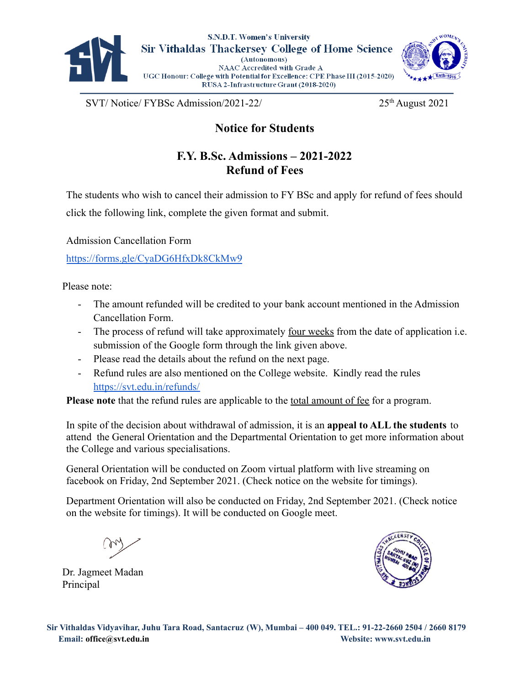

S.N.D.T. Women's University **Sir Vithaldas Thackersey College of Home Science** (Autonomous) NAAC Accredited with Grade A UGC Honour: College with Potential for Excellence: CPE Phase III (2015-2020) RUSA 2-Infrastructure Grant (2018-2020)



 $SVT/Notice/ FYBSc$  Admission/2021-22/ 25<sup>th</sup> August 2021

**Notice for Students**

## **F.Y. B.Sc. Admissions – 2021-2022 Refund of Fees**

The students who wish to cancel their admission to FY BSc and apply for refund of fees should click the following link, complete the given format and submit.

Admission Cancellation Form

https://forms.gle/CyaDG6HfxDk8CkMw9

Please note:

- The amount refunded will be credited to your bank account mentioned in the Admission Cancellation Form.
- The process of refund will take approximately <u>four weeks</u> from the date of application i.e. submission of the Google form through the link given above.
- Please read the details about the refund on the next page.
- Refund rules are also mentioned on the College website. Kindly read the rules <https://svt.edu.in/refunds/>

**Please note** that the refund rules are applicable to the total amount of fee for a program.

In spite of the decision about withdrawal of admission, it is an **appeal to ALL the students** to attend the General Orientation and the Departmental Orientation to get more information about the College and various specialisations.

General Orientation will be conducted on Zoom virtual platform with live streaming on facebook on Friday, 2nd September 2021. (Check notice on the website for timings).

Department Orientation will also be conducted on Friday, 2nd September 2021. (Check notice on the website for timings). It will be conducted on Google meet.

Dr. Jagmeet Madan Principal